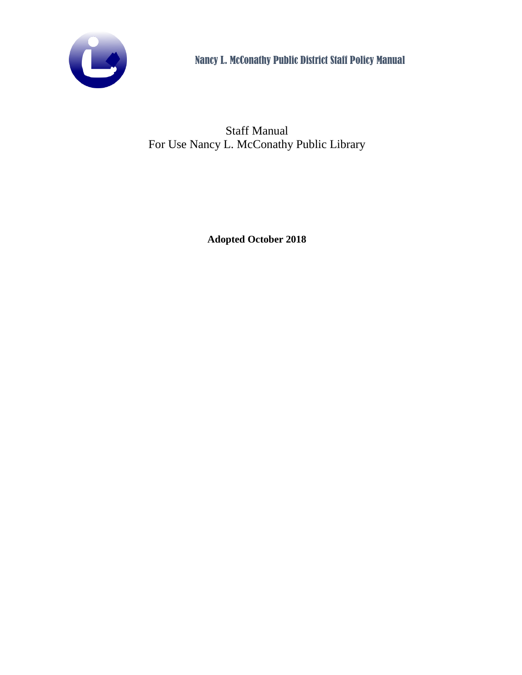

Staff Manual For Use Nancy L. McConathy Public Library

**Adopted October 2018**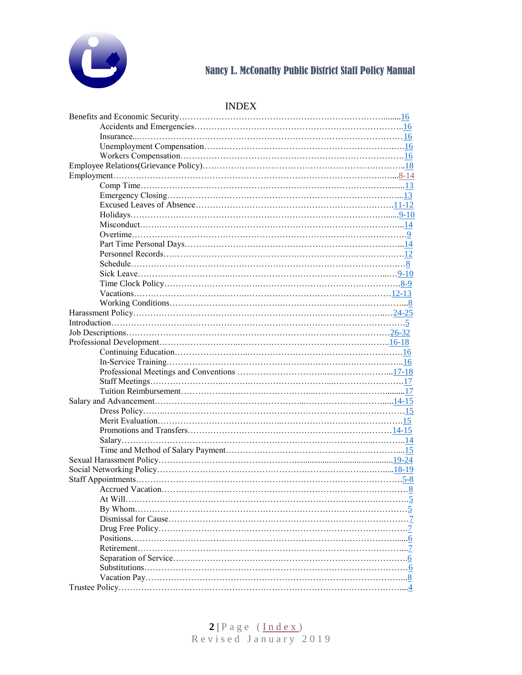

# <span id="page-1-0"></span>INDEX

| $\ldots 5$ |
|------------|
| . 7        |
| . 7        |
| 6          |
| $\ldots 7$ |
| $.6\,$     |
|            |
|            |
|            |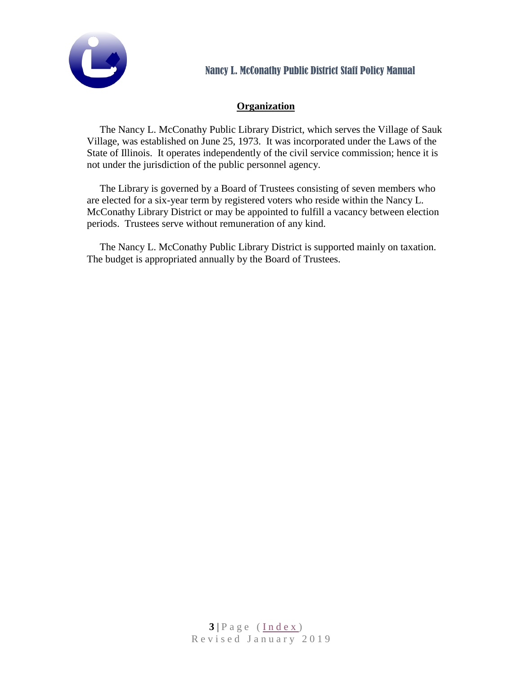

# **Organization**

The Nancy L. McConathy Public Library District, which serves the Village of Sauk Village, was established on June 25, 1973. It was incorporated under the Laws of the State of Illinois. It operates independently of the civil service commission; hence it is not under the jurisdiction of the public personnel agency.

The Library is governed by a Board of Trustees consisting of seven members who are elected for a six-year term by registered voters who reside within the Nancy L. McConathy Library District or may be appointed to fulfill a vacancy between election periods. Trustees serve without remuneration of any kind.

The Nancy L. McConathy Public Library District is supported mainly on taxation. The budget is appropriated annually by the Board of Trustees.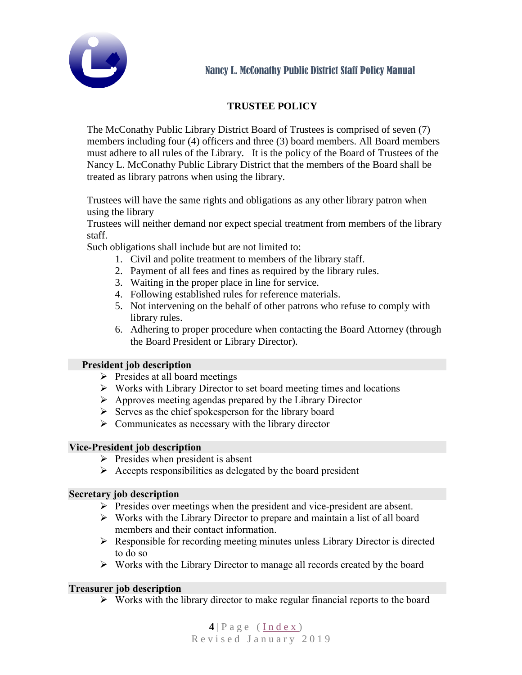

# **TRUSTEE POLICY**

<span id="page-3-0"></span>The McConathy Public Library District Board of Trustees is comprised of seven (7) members including four (4) officers and three (3) board members. All Board members must adhere to all rules of the Library. It is the policy of the Board of Trustees of the Nancy L. McConathy Public Library District that the members of the Board shall be treated as library patrons when using the library.

Trustees will have the same rights and obligations as any other library patron when using the library

Trustees will neither demand nor expect special treatment from members of the library staff.

Such obligations shall include but are not limited to:

- 1. Civil and polite treatment to members of the library staff.
- 2. Payment of all fees and fines as required by the library rules.
- 3. Waiting in the proper place in line for service.
- 4. Following established rules for reference materials.
- 5. Not intervening on the behalf of other patrons who refuse to comply with library rules.
- 6. Adhering to proper procedure when contacting the Board Attorney (through the Board President or Library Director).

### **President job description**

- $\triangleright$  Presides at all board meetings
- ➢ Works with Library Director to set board meeting times and locations
- ➢ Approves meeting agendas prepared by the Library Director
- ➢ Serves as the chief spokesperson for the library board
- ➢ Communicates as necessary with the library director

### **Vice-President job description**

- $\triangleright$  Presides when president is absent
- $\triangleright$  Accepts responsibilities as delegated by the board president

### **Secretary job description**

- ➢ Presides over meetings when the president and vice-president are absent.
- ➢ Works with the Library Director to prepare and maintain a list of all board members and their contact information.
- ➢ Responsible for recording meeting minutes unless Library Director is directed to do so
- ➢ Works with the Library Director to manage all records created by the board

### **Treasurer job description**

 $\triangleright$  Works with the library director to make regular financial reports to the board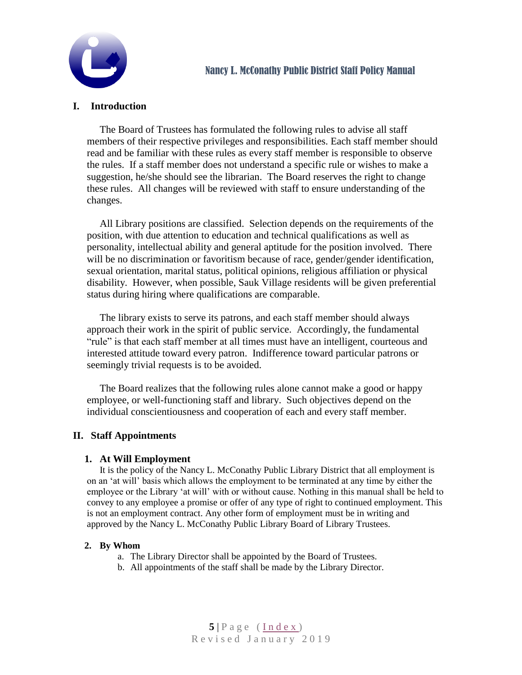

# <span id="page-4-0"></span>**I. Introduction**

The Board of Trustees has formulated the following rules to advise all staff members of their respective privileges and responsibilities. Each staff member should read and be familiar with these rules as every staff member is responsible to observe the rules. If a staff member does not understand a specific rule or wishes to make a suggestion, he/she should see the librarian. The Board reserves the right to change these rules. All changes will be reviewed with staff to ensure understanding of the changes.

All Library positions are classified. Selection depends on the requirements of the position, with due attention to education and technical qualifications as well as personality, intellectual ability and general aptitude for the position involved. There will be no discrimination or favoritism because of race, gender/gender identification, sexual orientation, marital status, political opinions, religious affiliation or physical disability. However, when possible, Sauk Village residents will be given preferential status during hiring where qualifications are comparable.

The library exists to serve its patrons, and each staff member should always approach their work in the spirit of public service. Accordingly, the fundamental "rule" is that each staff member at all times must have an intelligent, courteous and interested attitude toward every patron. Indifference toward particular patrons or seemingly trivial requests is to be avoided.

The Board realizes that the following rules alone cannot make a good or happy employee, or well-functioning staff and library. Such objectives depend on the individual conscientiousness and cooperation of each and every staff member.

### <span id="page-4-1"></span>**II. Staff Appointments**

#### <span id="page-4-2"></span>**1. At Will Employment**

It is the policy of the Nancy L. McConathy Public Library District that all employment is on an 'at will' basis which allows the employment to be terminated at any time by either the employee or the Library 'at will' with or without cause. Nothing in this manual shall be held to convey to any employee a promise or offer of any type of right to continued employment. This is not an employment contract. Any other form of employment must be in writing and approved by the Nancy L. McConathy Public Library Board of Library Trustees.

#### <span id="page-4-3"></span>**2. By Whom**

- a. The Library Director shall be appointed by the Board of Trustees.
- b. All appointments of the staff shall be made by the Library Director.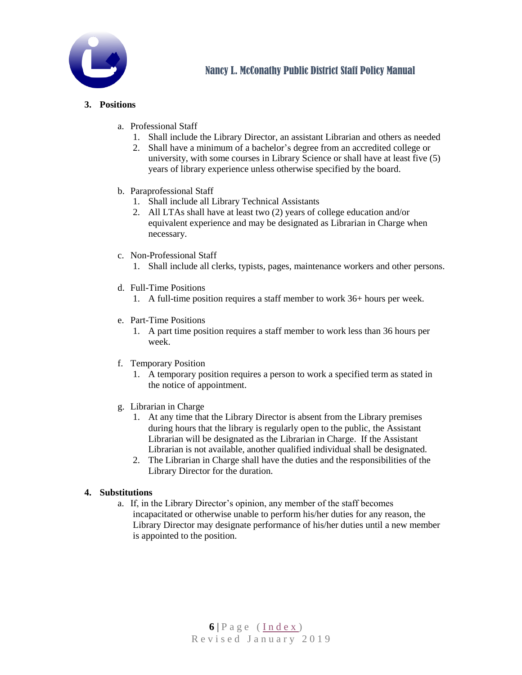

#### <span id="page-5-0"></span>**3. Positions**

- a. Professional Staff
	- 1. Shall include the Library Director, an assistant Librarian and others as needed
	- 2. Shall have a minimum of a bachelor's degree from an accredited college or university, with some courses in Library Science or shall have at least five (5) years of library experience unless otherwise specified by the board.
- b. Paraprofessional Staff
	- 1. Shall include all Library Technical Assistants
	- 2. All LTAs shall have at least two (2) years of college education and/or equivalent experience and may be designated as Librarian in Charge when necessary.
- c. Non-Professional Staff
	- 1. Shall include all clerks, typists, pages, maintenance workers and other persons.
- d. Full-Time Positions
	- 1. A full-time position requires a staff member to work 36+ hours per week.
- e. Part-Time Positions
	- 1. A part time position requires a staff member to work less than 36 hours per week.
- f. Temporary Position
	- 1. A temporary position requires a person to work a specified term as stated in the notice of appointment.
- g. Librarian in Charge
	- 1. At any time that the Library Director is absent from the Library premises during hours that the library is regularly open to the public, the Assistant Librarian will be designated as the Librarian in Charge. If the Assistant Librarian is not available, another qualified individual shall be designated.
	- 2. The Librarian in Charge shall have the duties and the responsibilities of the Library Director for the duration.

#### <span id="page-5-1"></span>**4. Substitutions**

a. If, in the Library Director's opinion, any member of the staff becomes incapacitated or otherwise unable to perform his/her duties for any reason, the Library Director may designate performance of his/her duties until a new member is appointed to the position.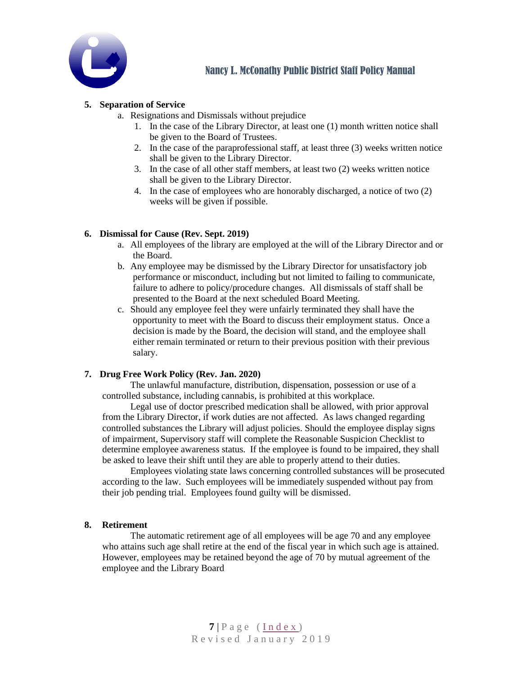

#### <span id="page-6-3"></span>**5. Separation of Service**

- a. Resignations and Dismissals without prejudice
	- 1. In the case of the Library Director, at least one (1) month written notice shall be given to the Board of Trustees.
	- 2. In the case of the paraprofessional staff, at least three (3) weeks written notice shall be given to the Library Director.
	- 3. In the case of all other staff members, at least two (2) weeks written notice shall be given to the Library Director.
	- 4. In the case of employees who are honorably discharged, a notice of two (2) weeks will be given if possible.

#### <span id="page-6-0"></span>**6. Dismissal for Cause (Rev. Sept. 2019)**

- a. All employees of the library are employed at the will of the Library Director and or the Board.
- b. Any employee may be dismissed by the Library Director for unsatisfactory job performance or misconduct, including but not limited to failing to communicate, failure to adhere to policy/procedure changes. All dismissals of staff shall be presented to the Board at the next scheduled Board Meeting.
- c. Should any employee feel they were unfairly terminated they shall have the opportunity to meet with the Board to discuss their employment status. Once a decision is made by the Board, the decision will stand, and the employee shall either remain terminated or return to their previous position with their previous salary.

#### <span id="page-6-1"></span>**7. Drug Free Work Policy (Rev. Jan. 2020)**

The unlawful manufacture, distribution, dispensation, possession or use of a controlled substance, including cannabis, is prohibited at this workplace.

Legal use of doctor prescribed medication shall be allowed, with prior approval from the Library Director, if work duties are not affected. As laws changed regarding controlled substances the Library will adjust policies. Should the employee display signs of impairment, Supervisory staff will complete the Reasonable Suspicion Checklist to determine employee awareness status. If the employee is found to be impaired, they shall be asked to leave their shift until they are able to properly attend to their duties.

Employees violating state laws concerning controlled substances will be prosecuted according to the law. Such employees will be immediately suspended without pay from their job pending trial. Employees found guilty will be dismissed.

#### <span id="page-6-2"></span>**8. Retirement**

The automatic retirement age of all employees will be age 70 and any employee who attains such age shall retire at the end of the fiscal year in which such age is attained. However, employees may be retained beyond the age of 70 by mutual agreement of the employee and the Library Board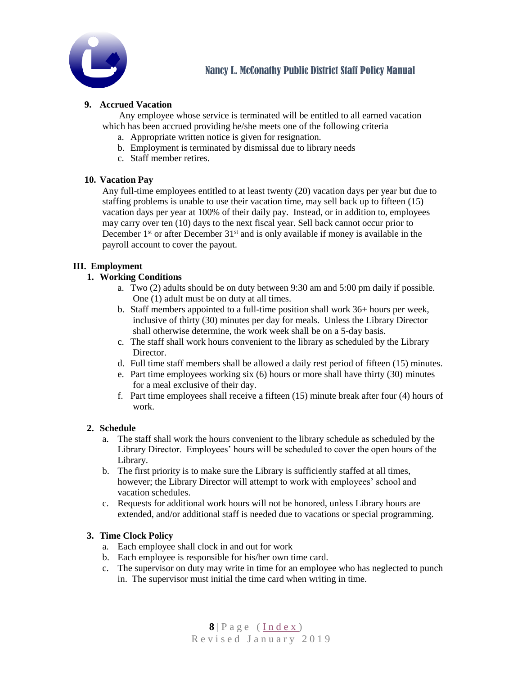

#### <span id="page-7-0"></span>**9. Accrued Vacation**

Any employee whose service is terminated will be entitled to all earned vacation which has been accrued providing he/she meets one of the following criteria

- a. Appropriate written notice is given for resignation.
- b. Employment is terminated by dismissal due to library needs
- c. Staff member retires.

#### <span id="page-7-5"></span>**10. Vacation Pay**

Any full-time employees entitled to at least twenty (20) vacation days per year but due to staffing problems is unable to use their vacation time, may sell back up to fifteen (15) vacation days per year at 100% of their daily pay. Instead, or in addition to, employees may carry over ten (10) days to the next fiscal year. Sell back cannot occur prior to December  $1<sup>st</sup>$  or after December  $31<sup>st</sup>$  and is only available if money is available in the payroll account to cover the payout.

#### <span id="page-7-4"></span><span id="page-7-1"></span>**III. Employment**

#### **1. Working Conditions**

- a. Two (2) adults should be on duty between 9:30 am and 5:00 pm daily if possible. One (1) adult must be on duty at all times.
- b. Staff members appointed to a full-time position shall work 36+ hours per week, inclusive of thirty (30) minutes per day for meals. Unless the Library Director shall otherwise determine, the work week shall be on a 5-day basis.
- c. The staff shall work hours convenient to the library as scheduled by the Library Director.
- d. Full time staff members shall be allowed a daily rest period of fifteen (15) minutes.
- e. Part time employees working six (6) hours or more shall have thirty (30) minutes for a meal exclusive of their day.
- f. Part time employees shall receive a fifteen (15) minute break after four (4) hours of work.

#### <span id="page-7-2"></span>**2. Schedule**

- a. The staff shall work the hours convenient to the library schedule as scheduled by the Library Director. Employees' hours will be scheduled to cover the open hours of the Library.
- b. The first priority is to make sure the Library is sufficiently staffed at all times, however; the Library Director will attempt to work with employees' school and vacation schedules.
- c. Requests for additional work hours will not be honored, unless Library hours are extended, and/or additional staff is needed due to vacations or special programming.

#### <span id="page-7-3"></span>**3. Time Clock Policy**

- a. Each employee shall clock in and out for work
- b. Each employee is responsible for his/her own time card.
- c. The supervisor on duty may write in time for an employee who has neglected to punch in. The supervisor must initial the time card when writing in time.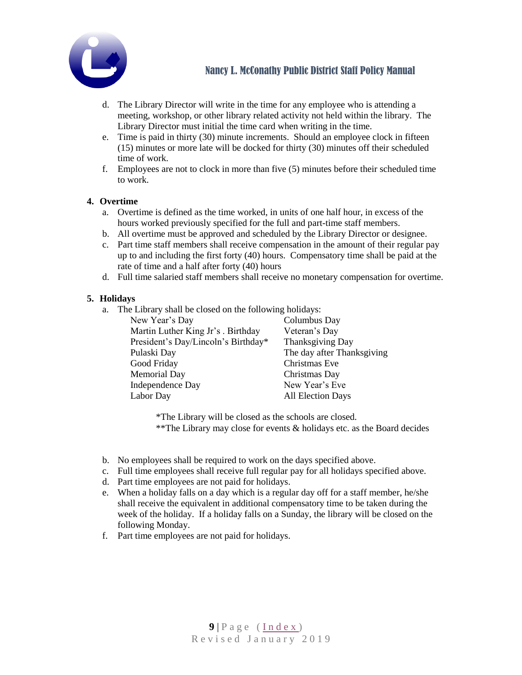

- d. The Library Director will write in the time for any employee who is attending a meeting, workshop, or other library related activity not held within the library. The Library Director must initial the time card when writing in the time.
- e. Time is paid in thirty (30) minute increments. Should an employee clock in fifteen (15) minutes or more late will be docked for thirty (30) minutes off their scheduled time of work.
- f. Employees are not to clock in more than five (5) minutes before their scheduled time to work.

#### <span id="page-8-1"></span>**4. Overtime**

- a. Overtime is defined as the time worked, in units of one half hour, in excess of the hours worked previously specified for the full and part-time staff members.
- b. All overtime must be approved and scheduled by the Library Director or designee.
- c. Part time staff members shall receive compensation in the amount of their regular pay up to and including the first forty (40) hours. Compensatory time shall be paid at the rate of time and a half after forty (40) hours
- d. Full time salaried staff members shall receive no monetary compensation for overtime.

#### <span id="page-8-0"></span>**5. Holidays**

a. The Library shall be closed on the following holidays:

| New Year's Day                      | Columbus Day               |
|-------------------------------------|----------------------------|
| Martin Luther King Jr's . Birthday  | Veteran's Day              |
| President's Day/Lincoln's Birthday* | Thanksgiving Day           |
| Pulaski Day                         | The day after Thanksgiving |
| Good Friday                         | Christmas Eve              |
| <b>Memorial Day</b>                 | Christmas Day              |
| <b>Independence Day</b>             | New Year's Eve             |
| Labor Day                           | <b>All Election Days</b>   |

\*The Library will be closed as the schools are closed. \*\*The Library may close for events & holidays etc. as the Board decides

- b. No employees shall be required to work on the days specified above.
- c. Full time employees shall receive full regular pay for all holidays specified above.
- d. Part time employees are not paid for holidays.
- e. When a holiday falls on a day which is a regular day off for a staff member, he/she shall receive the equivalent in additional compensatory time to be taken during the week of the holiday. If a holiday falls on a Sunday, the library will be closed on the following Monday.
- f. Part time employees are not paid for holidays.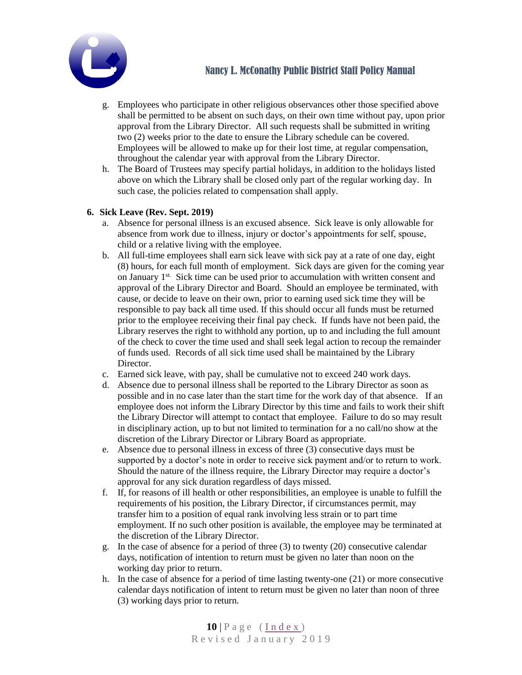

- g. Employees who participate in other religious observances other those specified above shall be permitted to be absent on such days, on their own time without pay, upon prior approval from the Library Director. All such requests shall be submitted in writing two (2) weeks prior to the date to ensure the Library schedule can be covered. Employees will be allowed to make up for their lost time, at regular compensation, throughout the calendar year with approval from the Library Director.
- h. The Board of Trustees may specify partial holidays, in addition to the holidays listed above on which the Library shall be closed only part of the regular working day. In such case, the policies related to compensation shall apply.

#### <span id="page-9-0"></span>**6. Sick Leave (Rev. Sept. 2019)**

- a. Absence for personal illness is an excused absence. Sick leave is only allowable for absence from work due to illness, injury or doctor's appointments for self, spouse, child or a relative living with the employee.
- b. All full-time employees shall earn sick leave with sick pay at a rate of one day, eight (8) hours, for each full month of employment. Sick days are given for the coming year on January 1<sup>st.</sup> Sick time can be used prior to accumulation with written consent and approval of the Library Director and Board. Should an employee be terminated, with cause, or decide to leave on their own, prior to earning used sick time they will be responsible to pay back all time used. If this should occur all funds must be returned prior to the employee receiving their final pay check. If funds have not been paid, the Library reserves the right to withhold any portion, up to and including the full amount of the check to cover the time used and shall seek legal action to recoup the remainder of funds used. Records of all sick time used shall be maintained by the Library Director.
- c. Earned sick leave, with pay, shall be cumulative not to exceed 240 work days.
- d. Absence due to personal illness shall be reported to the Library Director as soon as possible and in no case later than the start time for the work day of that absence. If an employee does not inform the Library Director by this time and fails to work their shift the Library Director will attempt to contact that employee. Failure to do so may result in disciplinary action, up to but not limited to termination for a no call/no show at the discretion of the Library Director or Library Board as appropriate.
- e. Absence due to personal illness in excess of three (3) consecutive days must be supported by a doctor's note in order to receive sick payment and/or to return to work. Should the nature of the illness require, the Library Director may require a doctor's approval for any sick duration regardless of days missed.
- f. If, for reasons of ill health or other responsibilities, an employee is unable to fulfill the requirements of his position, the Library Director, if circumstances permit, may transfer him to a position of equal rank involving less strain or to part time employment. If no such other position is available, the employee may be terminated at the discretion of the Library Director.
- g. In the case of absence for a period of three (3) to twenty (20) consecutive calendar days, notification of intention to return must be given no later than noon on the working day prior to return.
- h. In the case of absence for a period of time lasting twenty-one (21) or more consecutive calendar days notification of intent to return must be given no later than noon of three (3) working days prior to return.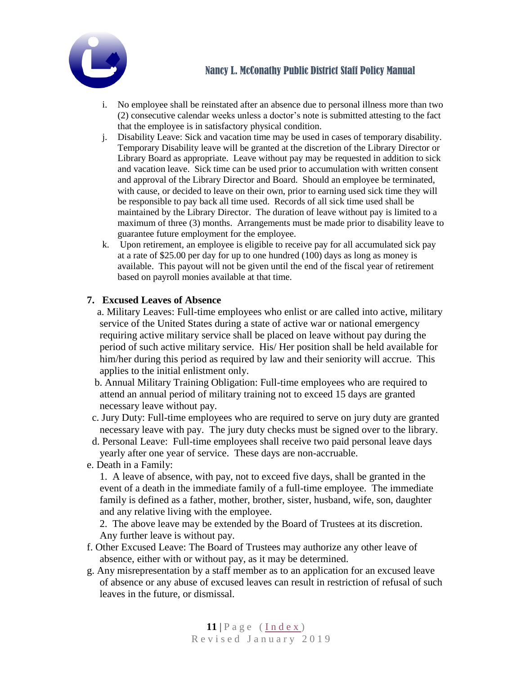

- i. No employee shall be reinstated after an absence due to personal illness more than two (2) consecutive calendar weeks unless a doctor's note is submitted attesting to the fact that the employee is in satisfactory physical condition.
- j. Disability Leave: Sick and vacation time may be used in cases of temporary disability. Temporary Disability leave will be granted at the discretion of the Library Director or Library Board as appropriate. Leave without pay may be requested in addition to sick and vacation leave. Sick time can be used prior to accumulation with written consent and approval of the Library Director and Board. Should an employee be terminated, with cause, or decided to leave on their own, prior to earning used sick time they will be responsible to pay back all time used. Records of all sick time used shall be maintained by the Library Director. The duration of leave without pay is limited to a maximum of three (3) months. Arrangements must be made prior to disability leave to guarantee future employment for the employee.
- k. Upon retirement, an employee is eligible to receive pay for all accumulated sick pay at a rate of \$25.00 per day for up to one hundred (100) days as long as money is available. This payout will not be given until the end of the fiscal year of retirement based on payroll monies available at that time.

### <span id="page-10-0"></span>**7. Excused Leaves of Absence**

 a. Military Leaves: Full-time employees who enlist or are called into active, military service of the United States during a state of active war or national emergency requiring active military service shall be placed on leave without pay during the period of such active military service. His/ Her position shall be held available for him/her during this period as required by law and their seniority will accrue. This applies to the initial enlistment only.

- b. Annual Military Training Obligation: Full-time employees who are required to attend an annual period of military training not to exceed 15 days are granted necessary leave without pay.
- c. Jury Duty: Full-time employees who are required to serve on jury duty are granted necessary leave with pay. The jury duty checks must be signed over to the library.
- d. Personal Leave: Full-time employees shall receive two paid personal leave days yearly after one year of service. These days are non-accruable.
- e. Death in a Family:

1. A leave of absence, with pay, not to exceed five days, shall be granted in the event of a death in the immediate family of a full-time employee. The immediate family is defined as a father, mother, brother, sister, husband, wife, son, daughter and any relative living with the employee.

2. The above leave may be extended by the Board of Trustees at its discretion. Any further leave is without pay.

- f. Other Excused Leave: The Board of Trustees may authorize any other leave of absence, either with or without pay, as it may be determined.
- g. Any misrepresentation by a staff member as to an application for an excused leave of absence or any abuse of excused leaves can result in restriction of refusal of such leaves in the future, or dismissal.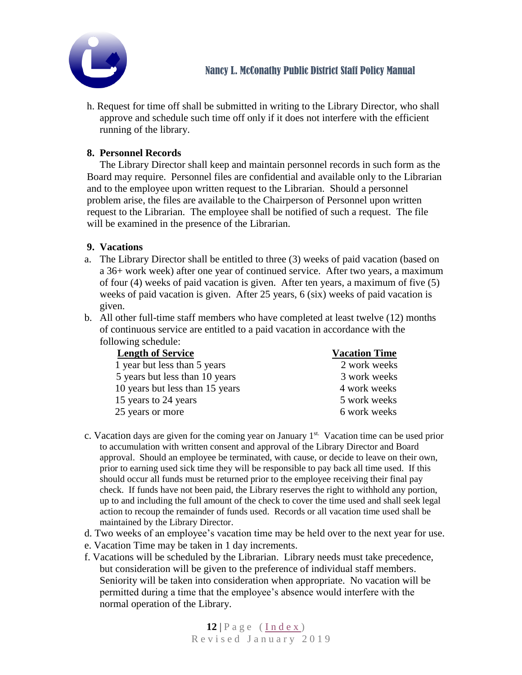

h. Request for time off shall be submitted in writing to the Library Director, who shall approve and schedule such time off only if it does not interfere with the efficient running of the library.

## <span id="page-11-0"></span>**8. Personnel Records**

The Library Director shall keep and maintain personnel records in such form as the Board may require. Personnel files are confidential and available only to the Librarian and to the employee upon written request to the Librarian. Should a personnel problem arise, the files are available to the Chairperson of Personnel upon written request to the Librarian. The employee shall be notified of such a request. The file will be examined in the presence of the Librarian.

### <span id="page-11-1"></span>**9. Vacations**

- a. The Library Director shall be entitled to three (3) weeks of paid vacation (based on a 36+ work week) after one year of continued service. After two years, a maximum of four (4) weeks of paid vacation is given. After ten years, a maximum of five (5) weeks of paid vacation is given. After 25 years, 6 (six) weeks of paid vacation is given.
- b. All other full-time staff members who have completed at least twelve (12) months of continuous service are entitled to a paid vacation in accordance with the following schedule:

| <b>Length of Service</b>        | <b>Vacation Time</b> |
|---------------------------------|----------------------|
| 1 year but less than 5 years    | 2 work weeks         |
| 5 years but less than 10 years  | 3 work weeks         |
| 10 years but less than 15 years | 4 work weeks         |
| 15 years to 24 years            | 5 work weeks         |
| 25 years or more                | 6 work weeks         |

- c. Vacation days are given for the coming year on January 1<sup>st.</sup> Vacation time can be used prior to accumulation with written consent and approval of the Library Director and Board approval. Should an employee be terminated, with cause, or decide to leave on their own, prior to earning used sick time they will be responsible to pay back all time used. If this should occur all funds must be returned prior to the employee receiving their final pay check. If funds have not been paid, the Library reserves the right to withhold any portion, up to and including the full amount of the check to cover the time used and shall seek legal action to recoup the remainder of funds used. Records or all vacation time used shall be maintained by the Library Director.
- d. Two weeks of an employee's vacation time may be held over to the next year for use.
- e. Vacation Time may be taken in 1 day increments.
- f. Vacations will be scheduled by the Librarian. Library needs must take precedence, but consideration will be given to the preference of individual staff members. Seniority will be taken into consideration when appropriate. No vacation will be permitted during a time that the employee's absence would interfere with the normal operation of the Library.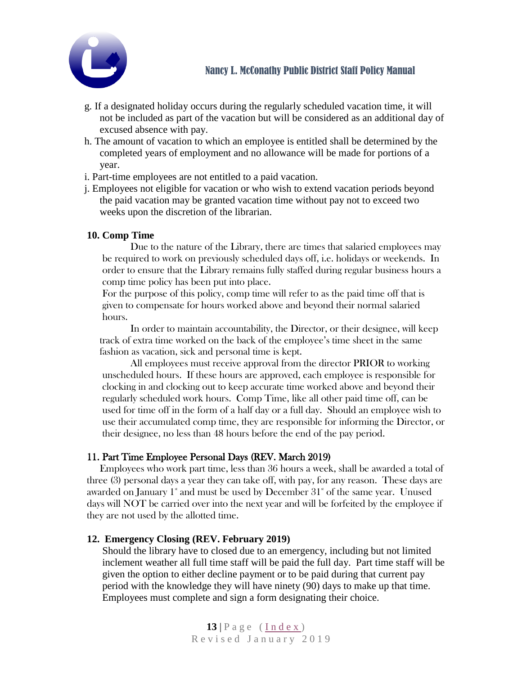

- g. If a designated holiday occurs during the regularly scheduled vacation time, it will not be included as part of the vacation but will be considered as an additional day of excused absence with pay.
- h. The amount of vacation to which an employee is entitled shall be determined by the completed years of employment and no allowance will be made for portions of a year.
- i. Part-time employees are not entitled to a paid vacation.
- j. Employees not eligible for vacation or who wish to extend vacation periods beyond the paid vacation may be granted vacation time without pay not to exceed two weeks upon the discretion of the librarian.

#### <span id="page-12-0"></span>**10. Comp Time**

Due to the nature of the Library, there are times that salaried employees may be required to work on previously scheduled days off, i.e. holidays or weekends. In order to ensure that the Library remains fully staffed during regular business hours a comp time policy has been put into place.

For the purpose of this policy, comp time will refer to as the paid time off that is given to compensate for hours worked above and beyond their normal salaried hours.

In order to maintain accountability, the Director, or their designee, will keep track of extra time worked on the back of the employee's time sheet in the same fashion as vacation, sick and personal time is kept.

All employees must receive approval from the director PRIOR to working unscheduled hours. If these hours are approved, each employee is responsible for clocking in and clocking out to keep accurate time worked above and beyond their regularly scheduled work hours. Comp Time, like all other paid time off, can be used for time off in the form of a half day or a full day. Should an employee wish to use their accumulated comp time, they are responsible for informing the Director, or their designee, no less than 48 hours before the end of the pay period.

### <span id="page-12-2"></span>11. Part Time Employee Personal Days (REV. March 2019)

Employees who work part time, less than 36 hours a week, shall be awarded a total of three (3) personal days a year they can take off, with pay, for any reason. These days are awarded on January  $1^*$  and must be used by December  $31^*$  of the same year. Unused days will NOT be carried over into the next year and will be forfeited by the employee if they are not used by the allotted time.

### **12. Emergency Closing (REV. February 2019)**

<span id="page-12-1"></span>Should the library have to closed due to an emergency, including but not limited inclement weather all full time staff will be paid the full day. Part time staff will be given the option to either decline payment or to be paid during that current pay period with the knowledge they will have ninety (90) days to make up that time. Employees must complete and sign a form designating their choice.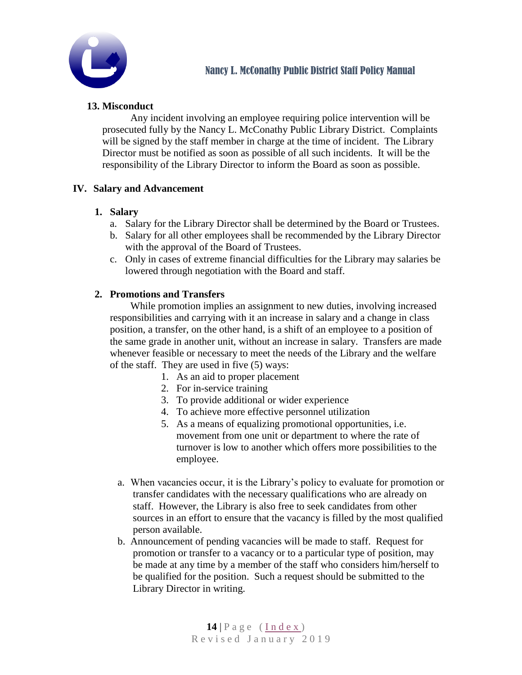

# <span id="page-13-0"></span>**13. Misconduct**

Any incident involving an employee requiring police intervention will be prosecuted fully by the Nancy L. McConathy Public Library District. Complaints will be signed by the staff member in charge at the time of incident. The Library Director must be notified as soon as possible of all such incidents. It will be the responsibility of the Library Director to inform the Board as soon as possible.

## <span id="page-13-3"></span><span id="page-13-1"></span>**IV. Salary and Advancement**

### **1. Salary**

- a. Salary for the Library Director shall be determined by the Board or Trustees.
- b. Salary for all other employees shall be recommended by the Library Director with the approval of the Board of Trustees.
- c. Only in cases of extreme financial difficulties for the Library may salaries be lowered through negotiation with the Board and staff.

## <span id="page-13-2"></span>**2. Promotions and Transfers**

While promotion implies an assignment to new duties, involving increased responsibilities and carrying with it an increase in salary and a change in class position, a transfer, on the other hand, is a shift of an employee to a position of the same grade in another unit, without an increase in salary. Transfers are made whenever feasible or necessary to meet the needs of the Library and the welfare of the staff. They are used in five (5) ways:

- 1. As an aid to proper placement
- 2. For in-service training
- 3. To provide additional or wider experience
- 4. To achieve more effective personnel utilization
- 5. As a means of equalizing promotional opportunities, i.e. movement from one unit or department to where the rate of turnover is low to another which offers more possibilities to the employee.
- a. When vacancies occur, it is the Library's policy to evaluate for promotion or transfer candidates with the necessary qualifications who are already on staff. However, the Library is also free to seek candidates from other sources in an effort to ensure that the vacancy is filled by the most qualified person available.
- b. Announcement of pending vacancies will be made to staff. Request for promotion or transfer to a vacancy or to a particular type of position, may be made at any time by a member of the staff who considers him/herself to be qualified for the position. Such a request should be submitted to the Library Director in writing.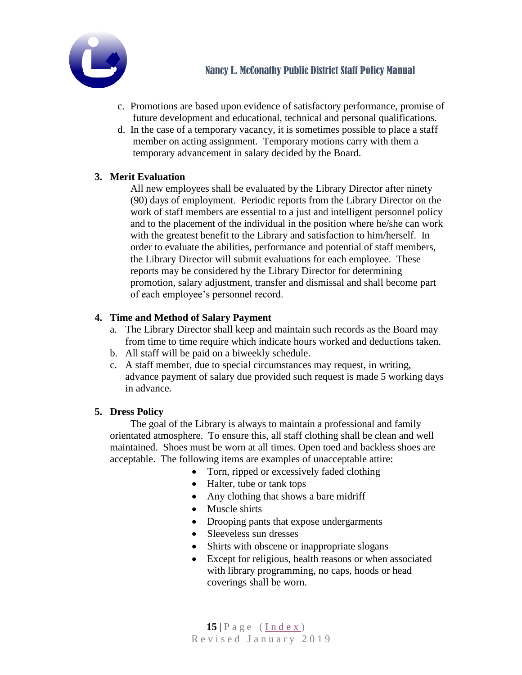

- c. Promotions are based upon evidence of satisfactory performance, promise of future development and educational, technical and personal qualifications.
- d. In the case of a temporary vacancy, it is sometimes possible to place a staff member on acting assignment. Temporary motions carry with them a temporary advancement in salary decided by the Board.

# <span id="page-14-1"></span>**3. Merit Evaluation**

All new employees shall be evaluated by the Library Director after ninety (90) days of employment. Periodic reports from the Library Director on the work of staff members are essential to a just and intelligent personnel policy and to the placement of the individual in the position where he/she can work with the greatest benefit to the Library and satisfaction to him/herself. In order to evaluate the abilities, performance and potential of staff members, the Library Director will submit evaluations for each employee. These reports may be considered by the Library Director for determining promotion, salary adjustment, transfer and dismissal and shall become part of each employee's personnel record.

# <span id="page-14-2"></span>**4. Time and Method of Salary Payment**

- a. The Library Director shall keep and maintain such records as the Board may from time to time require which indicate hours worked and deductions taken.
- b. All staff will be paid on a biweekly schedule.
- c. A staff member, due to special circumstances may request, in writing, advance payment of salary due provided such request is made 5 working days in advance.

### <span id="page-14-0"></span>**5. Dress Policy**

The goal of the Library is always to maintain a professional and family orientated atmosphere. To ensure this, all staff clothing shall be clean and well maintained. Shoes must be worn at all times. Open toed and backless shoes are acceptable. The following items are examples of unacceptable attire:

- Torn, ripped or excessively faded clothing
- Halter, tube or tank tops
- Any clothing that shows a bare midriff
- Muscle shirts
- Drooping pants that expose undergarments
- Sleeveless sun dresses
- Shirts with obscene or inappropriate slogans
- Except for religious, health reasons or when associated with library programming, no caps, hoods or head coverings shall be worn.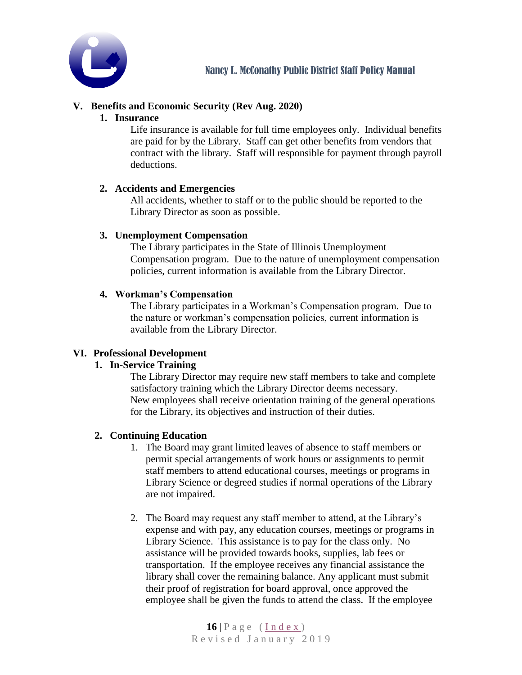

# <span id="page-15-1"></span><span id="page-15-0"></span>**V. Benefits and Economic Security (Rev Aug. 2020)**

#### **1. Insurance**

Life insurance is available for full time employees only. Individual benefits are paid for by the Library. Staff can get other benefits from vendors that contract with the library. Staff will responsible for payment through payroll deductions.

### **2. Accidents and Emergencies**

All accidents, whether to staff or to the public should be reported to the Library Director as soon as possible.

## <span id="page-15-2"></span>**3. Unemployment Compensation**

The Library participates in the State of Illinois Unemployment Compensation program. Due to the nature of unemployment compensation policies, current information is available from the Library Director.

## <span id="page-15-3"></span>**4. Workman's Compensation**

The Library participates in a Workman's Compensation program. Due to the nature or workman's compensation policies, current information is available from the Library Director.

### <span id="page-15-6"></span>**VI. Professional Development**

# <span id="page-15-4"></span>**1. In-Service Training**

The Library Director may require new staff members to take and complete satisfactory training which the Library Director deems necessary. New employees shall receive orientation training of the general operations for the Library, its objectives and instruction of their duties.

### <span id="page-15-5"></span>**2. Continuing Education**

- 1. The Board may grant limited leaves of absence to staff members or permit special arrangements of work hours or assignments to permit staff members to attend educational courses, meetings or programs in Library Science or degreed studies if normal operations of the Library are not impaired.
- 2. The Board may request any staff member to attend, at the Library's expense and with pay, any education courses, meetings or programs in Library Science. This assistance is to pay for the class only. No assistance will be provided towards books, supplies, lab fees or transportation. If the employee receives any financial assistance the library shall cover the remaining balance. Any applicant must submit their proof of registration for board approval, once approved the employee shall be given the funds to attend the class. If the employee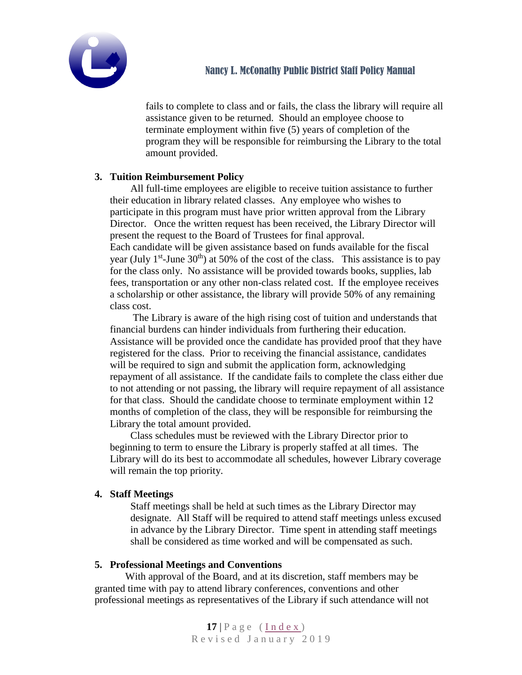

fails to complete to class and or fails, the class the library will require all assistance given to be returned. Should an employee choose to terminate employment within five (5) years of completion of the program they will be responsible for reimbursing the Library to the total amount provided.

## <span id="page-16-2"></span>**3. Tuition Reimbursement Policy**

All full-time employees are eligible to receive tuition assistance to further their education in library related classes. Any employee who wishes to participate in this program must have prior written approval from the Library Director. Once the written request has been received, the Library Director will present the request to the Board of Trustees for final approval. Each candidate will be given assistance based on funds available for the fiscal year (July  $1<sup>st</sup>$ -June 30<sup>th</sup>) at 50% of the cost of the class. This assistance is to pay for the class only. No assistance will be provided towards books, supplies, lab fees, transportation or any other non-class related cost. If the employee receives a scholarship or other assistance, the library will provide 50% of any remaining class cost.

The Library is aware of the high rising cost of tuition and understands that financial burdens can hinder individuals from furthering their education. Assistance will be provided once the candidate has provided proof that they have registered for the class. Prior to receiving the financial assistance, candidates will be required to sign and submit the application form, acknowledging repayment of all assistance. If the candidate fails to complete the class either due to not attending or not passing, the library will require repayment of all assistance for that class. Should the candidate choose to terminate employment within 12 months of completion of the class, they will be responsible for reimbursing the Library the total amount provided.

Class schedules must be reviewed with the Library Director prior to beginning to term to ensure the Library is properly staffed at all times. The Library will do its best to accommodate all schedules, however Library coverage will remain the top priority.

### <span id="page-16-1"></span>**4. Staff Meetings**

Staff meetings shall be held at such times as the Library Director may designate. All Staff will be required to attend staff meetings unless excused in advance by the Library Director. Time spent in attending staff meetings shall be considered as time worked and will be compensated as such.

### <span id="page-16-0"></span>**5. Professional Meetings and Conventions**

 With approval of the Board, and at its discretion, staff members may be granted time with pay to attend library conferences, conventions and other professional meetings as representatives of the Library if such attendance will not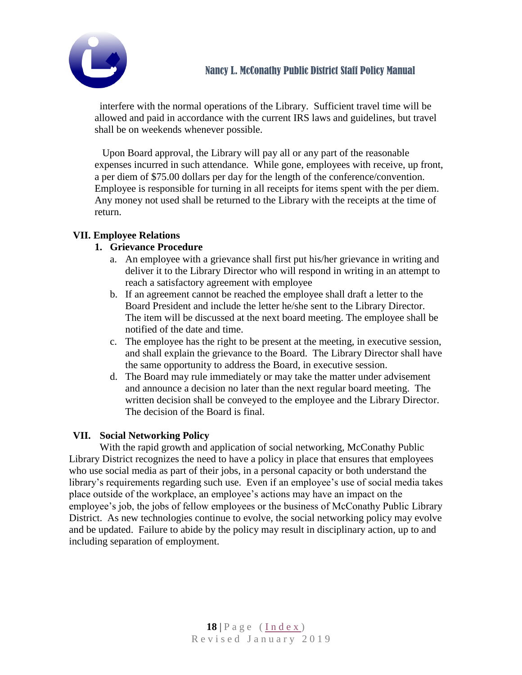

interfere with the normal operations of the Library. Sufficient travel time will be allowed and paid in accordance with the current IRS laws and guidelines, but travel shall be on weekends whenever possible.

Upon Board approval, the Library will pay all or any part of the reasonable expenses incurred in such attendance. While gone, employees with receive, up front, a per diem of \$75.00 dollars per day for the length of the conference/convention. Employee is responsible for turning in all receipts for items spent with the per diem. Any money not used shall be returned to the Library with the receipts at the time of return.

# <span id="page-17-0"></span>**VII. Employee Relations**

# **1. Grievance Procedure**

- a. An employee with a grievance shall first put his/her grievance in writing and deliver it to the Library Director who will respond in writing in an attempt to reach a satisfactory agreement with employee
- b. If an agreement cannot be reached the employee shall draft a letter to the Board President and include the letter he/she sent to the Library Director. The item will be discussed at the next board meeting. The employee shall be notified of the date and time.
- c. The employee has the right to be present at the meeting, in executive session, and shall explain the grievance to the Board. The Library Director shall have the same opportunity to address the Board, in executive session.
- d. The Board may rule immediately or may take the matter under advisement and announce a decision no later than the next regular board meeting. The written decision shall be conveyed to the employee and the Library Director. The decision of the Board is final.

# <span id="page-17-1"></span>**VII. Social Networking Policy**

With the rapid growth and application of social networking, McConathy Public Library District recognizes the need to have a policy in place that ensures that employees who use social media as part of their jobs, in a personal capacity or both understand the library's requirements regarding such use. Even if an employee's use of social media takes place outside of the workplace, an employee's actions may have an impact on the employee's job, the jobs of fellow employees or the business of McConathy Public Library District. As new technologies continue to evolve, the social networking policy may evolve and be updated. Failure to abide by the policy may result in disciplinary action, up to and including separation of employment.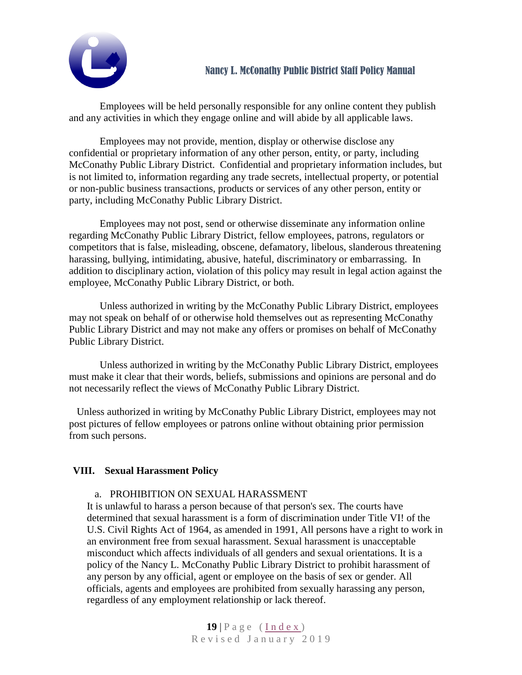

Employees will be held personally responsible for any online content they publish and any activities in which they engage online and will abide by all applicable laws.

Employees may not provide, mention, display or otherwise disclose any confidential or proprietary information of any other person, entity, or party, including McConathy Public Library District. Confidential and proprietary information includes, but is not limited to, information regarding any trade secrets, intellectual property, or potential or non-public business transactions, products or services of any other person, entity or party, including McConathy Public Library District.

Employees may not post, send or otherwise disseminate any information online regarding McConathy Public Library District, fellow employees, patrons, regulators or competitors that is false, misleading, obscene, defamatory, libelous, slanderous threatening harassing, bullying, intimidating, abusive, hateful, discriminatory or embarrassing. In addition to disciplinary action, violation of this policy may result in legal action against the employee, McConathy Public Library District, or both.

Unless authorized in writing by the McConathy Public Library District, employees may not speak on behalf of or otherwise hold themselves out as representing McConathy Public Library District and may not make any offers or promises on behalf of McConathy Public Library District.

Unless authorized in writing by the McConathy Public Library District, employees must make it clear that their words, beliefs, submissions and opinions are personal and do not necessarily reflect the views of McConathy Public Library District.

Unless authorized in writing by McConathy Public Library District, employees may not post pictures of fellow employees or patrons online without obtaining prior permission from such persons.

### **VIII. Sexual Harassment Policy**

### <span id="page-18-0"></span>a. PROHIBITION ON SEXUAL HARASSMENT

It is unlawful to harass a person because of that person's sex. The courts have determined that sexual harassment is a form of discrimination under Title VI! of the U.S. Civil Rights Act of 1964, as amended in 1991, All persons have a right to work in an environment free from sexual harassment. Sexual harassment is unacceptable misconduct which affects individuals of all genders and sexual orientations. It is a policy of the Nancy L. McConathy Public Library District to prohibit harassment of any person by any official, agent or employee on the basis of sex or gender. All officials, agents and employees are prohibited from sexually harassing any person, regardless of any employment relationship or lack thereof.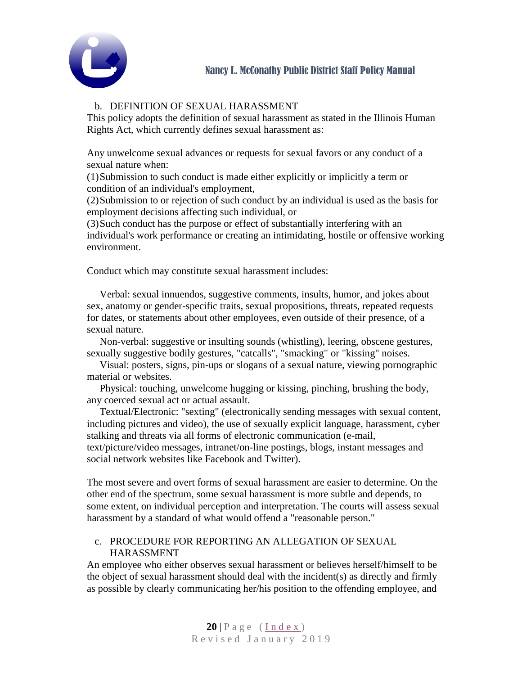

# b. DEFINITION OF SEXUAL HARASSMENT

This policy adopts the definition of sexual harassment as stated in the Illinois Human Rights Act, which currently defines sexual harassment as:

Any unwelcome sexual advances or requests for sexual favors or any conduct of a sexual nature when:

(1)Submission to such conduct is made either explicitly or implicitly a term or condition of an individual's employment,

(2)Submission to or rejection of such conduct by an individual is used as the basis for employment decisions affecting such individual, or

(3)Such conduct has the purpose or effect of substantially interfering with an individual's work performance or creating an intimidating, hostile or offensive working environment.

Conduct which may constitute sexual harassment includes:

Verbal: sexual innuendos, suggestive comments, insults, humor, and jokes about sex, anatomy or gender-specific traits, sexual propositions, threats, repeated requests for dates, or statements about other employees, even outside of their presence, of a sexual nature.

Non-verbal: suggestive or insulting sounds (whistling), leering, obscene gestures, sexually suggestive bodily gestures, "catcalls", "smacking" or "kissing" noises.

Visual: posters, signs, pin-ups or slogans of a sexual nature, viewing pornographic material or websites.

Physical: touching, unwelcome hugging or kissing, pinching, brushing the body, any coerced sexual act or actual assault.

Textual/Electronic: "sexting" (electronically sending messages with sexual content, including pictures and video), the use of sexually explicit language, harassment, cyber stalking and threats via all forms of electronic communication (e-mail, text/picture/video messages, intranet/on-line postings, blogs, instant messages and social network websites like Facebook and Twitter).

The most severe and overt forms of sexual harassment are easier to determine. On the other end of the spectrum, some sexual harassment is more subtle and depends, to some extent, on individual perception and interpretation. The courts will assess sexual harassment by a standard of what would offend a "reasonable person."

### c. PROCEDURE FOR REPORTING AN ALLEGATION OF SEXUAL HARASSMENT

An employee who either observes sexual harassment or believes herself/himself to be the object of sexual harassment should deal with the incident(s) as directly and firmly as possible by clearly communicating her/his position to the offending employee, and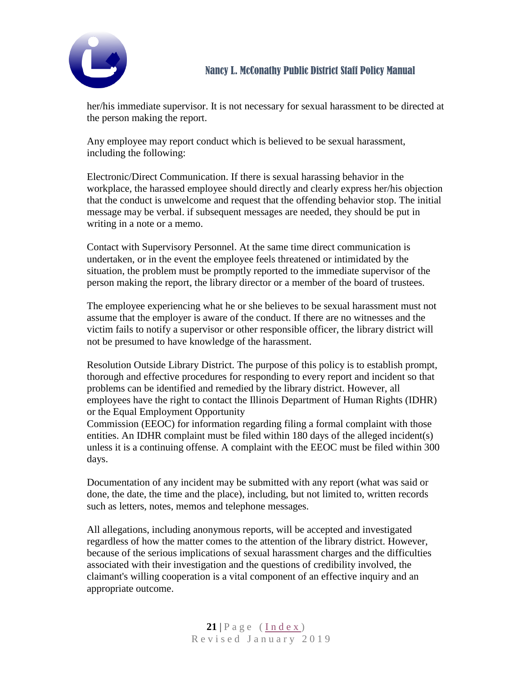

her/his immediate supervisor. It is not necessary for sexual harassment to be directed at the person making the report.

Any employee may report conduct which is believed to be sexual harassment, including the following:

Electronic/Direct Communication. If there is sexual harassing behavior in the workplace, the harassed employee should directly and clearly express her/his objection that the conduct is unwelcome and request that the offending behavior stop. The initial message may be verbal. if subsequent messages are needed, they should be put in writing in a note or a memo.

Contact with Supervisory Personnel. At the same time direct communication is undertaken, or in the event the employee feels threatened or intimidated by the situation, the problem must be promptly reported to the immediate supervisor of the person making the report, the library director or a member of the board of trustees.

The employee experiencing what he or she believes to be sexual harassment must not assume that the employer is aware of the conduct. If there are no witnesses and the victim fails to notify a supervisor or other responsible officer, the library district will not be presumed to have knowledge of the harassment.

Resolution Outside Library District. The purpose of this policy is to establish prompt, thorough and effective procedures for responding to every report and incident so that problems can be identified and remedied by the library district. However, all employees have the right to contact the Illinois Department of Human Rights (IDHR) or the Equal Employment Opportunity

Commission (EEOC) for information regarding filing a formal complaint with those entities. An IDHR complaint must be filed within 180 days of the alleged incident(s) unless it is a continuing offense. A complaint with the EEOC must be filed within 300 days.

Documentation of any incident may be submitted with any report (what was said or done, the date, the time and the place), including, but not limited to, written records such as letters, notes, memos and telephone messages.

All allegations, including anonymous reports, will be accepted and investigated regardless of how the matter comes to the attention of the library district. However, because of the serious implications of sexual harassment charges and the difficulties associated with their investigation and the questions of credibility involved, the claimant's willing cooperation is a vital component of an effective inquiry and an appropriate outcome.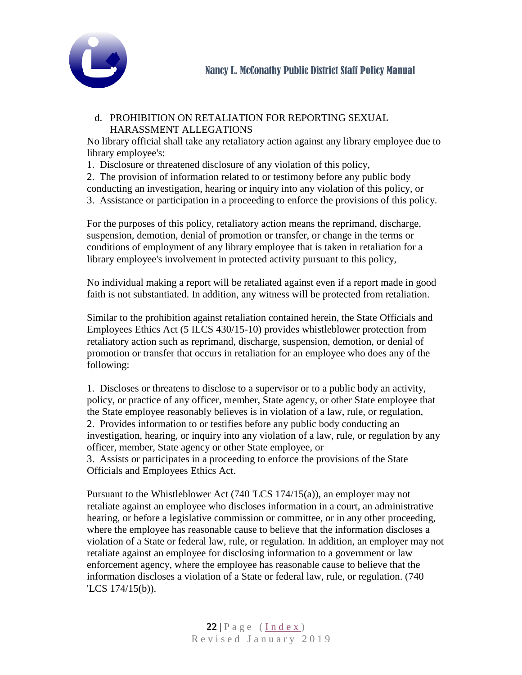

#### d. PROHIBITION ON RETALIATION FOR REPORTING SEXUAL HARASSMENT ALLEGATIONS

No library official shall take any retaliatory action against any library employee due to library employee's:

1. Disclosure or threatened disclosure of any violation of this policy,

2. The provision of information related to or testimony before any public body conducting an investigation, hearing or inquiry into any violation of this policy, or 3. Assistance or participation in a proceeding to enforce the provisions of this policy.

For the purposes of this policy, retaliatory action means the reprimand, discharge, suspension, demotion, denial of promotion or transfer, or change in the terms or conditions of employment of any library employee that is taken in retaliation for a library employee's involvement in protected activity pursuant to this policy,

No individual making a report will be retaliated against even if a report made in good faith is not substantiated. In addition, any witness will be protected from retaliation.

Similar to the prohibition against retaliation contained herein, the State Officials and Employees Ethics Act (5 ILCS 430/15-10) provides whistleblower protection from retaliatory action such as reprimand, discharge, suspension, demotion, or denial of promotion or transfer that occurs in retaliation for an employee who does any of the following:

1. Discloses or threatens to disclose to a supervisor or to a public body an activity, policy, or practice of any officer, member, State agency, or other State employee that the State employee reasonably believes is in violation of a law, rule, or regulation, 2. Provides information to or testifies before any public body conducting an investigation, hearing, or inquiry into any violation of a law, rule, or regulation by any officer, member, State agency or other State employee, or 3. Assists or participates in a proceeding to enforce the provisions of the State

Officials and Employees Ethics Act.

Pursuant to the Whistleblower Act (740 'LCS 174/15(a)), an employer may not retaliate against an employee who discloses information in a court, an administrative hearing, or before a legislative commission or committee, or in any other proceeding, where the employee has reasonable cause to believe that the information discloses a violation of a State or federal law, rule, or regulation. In addition, an employer may not retaliate against an employee for disclosing information to a government or law enforcement agency, where the employee has reasonable cause to believe that the information discloses a violation of a State or federal law, rule, or regulation. (740 'LCS 174/15(b)).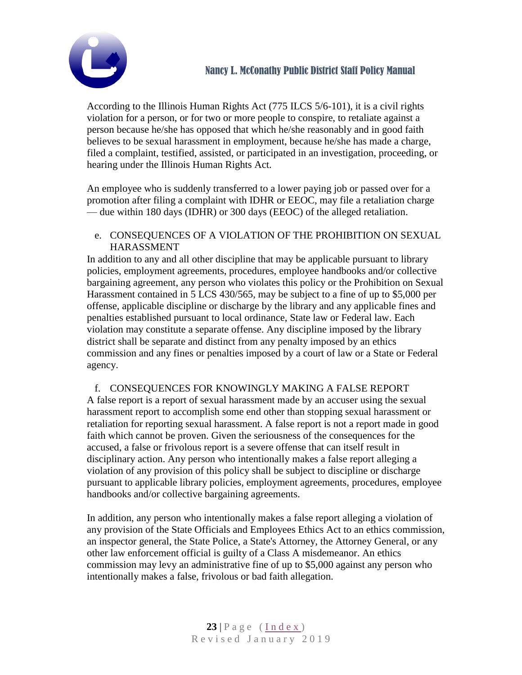

According to the Illinois Human Rights Act (775 ILCS 5/6-101), it is a civil rights violation for a person, or for two or more people to conspire, to retaliate against a person because he/she has opposed that which he/she reasonably and in good faith believes to be sexual harassment in employment, because he/she has made a charge, filed a complaint, testified, assisted, or participated in an investigation, proceeding, or hearing under the Illinois Human Rights Act.

An employee who is suddenly transferred to a lower paying job or passed over for a promotion after filing a complaint with IDHR or EEOC, may file a retaliation charge — due within 180 days (IDHR) or 300 days (EEOC) of the alleged retaliation.

e. CONSEQUENCES OF A VIOLATION OF THE PROHIBITION ON SEXUAL HARASSMENT

In addition to any and all other discipline that may be applicable pursuant to library policies, employment agreements, procedures, employee handbooks and/or collective bargaining agreement, any person who violates this policy or the Prohibition on Sexual Harassment contained in 5 LCS 430/565, may be subject to a fine of up to \$5,000 per offense, applicable discipline or discharge by the library and any applicable fines and penalties established pursuant to local ordinance, State law or Federal law. Each violation may constitute a separate offense. Any discipline imposed by the library district shall be separate and distinct from any penalty imposed by an ethics commission and any fines or penalties imposed by a court of law or a State or Federal agency.

f. CONSEQUENCES FOR KNOWINGLY MAKING A FALSE REPORT A false report is a report of sexual harassment made by an accuser using the sexual harassment report to accomplish some end other than stopping sexual harassment or

retaliation for reporting sexual harassment. A false report is not a report made in good faith which cannot be proven. Given the seriousness of the consequences for the accused, a false or frivolous report is a severe offense that can itself result in disciplinary action. Any person who intentionally makes a false report alleging a violation of any provision of this policy shall be subject to discipline or discharge pursuant to applicable library policies, employment agreements, procedures, employee handbooks and/or collective bargaining agreements.

In addition, any person who intentionally makes a false report alleging a violation of any provision of the State Officials and Employees Ethics Act to an ethics commission, an inspector general, the State Police, a State's Attorney, the Attorney General, or any other law enforcement official is guilty of a Class A misdemeanor. An ethics commission may levy an administrative fine of up to \$5,000 against any person who intentionally makes a false, frivolous or bad faith allegation.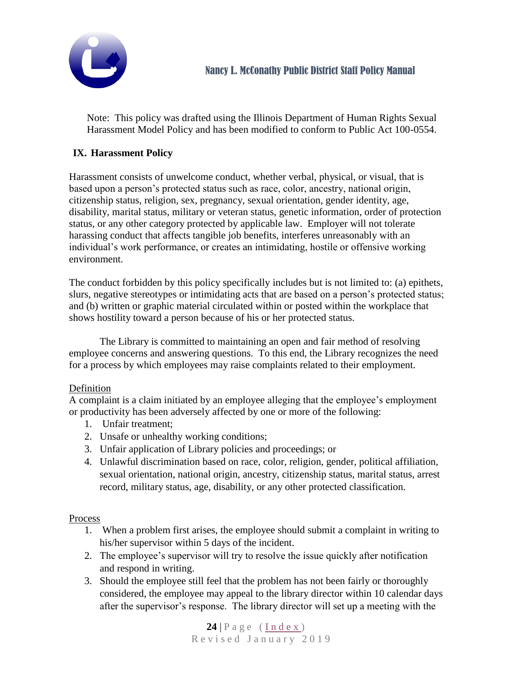

Note: This policy was drafted using the Illinois Department of Human Rights Sexual Harassment Model Policy and has been modified to conform to Public Act 100-0554.

# <span id="page-23-0"></span>**IX. Harassment Policy**

Harassment consists of unwelcome conduct, whether verbal, physical, or visual, that is based upon a person's protected status such as race, color, ancestry, national origin, citizenship status, religion, sex, pregnancy, sexual orientation, gender identity, age, disability, marital status, military or veteran status, genetic information, order of protection status, or any other category protected by applicable law. Employer will not tolerate harassing conduct that affects tangible job benefits, interferes unreasonably with an individual's work performance, or creates an intimidating, hostile or offensive working environment.

The conduct forbidden by this policy specifically includes but is not limited to: (a) epithets, slurs, negative stereotypes or intimidating acts that are based on a person's protected status; and (b) written or graphic material circulated within or posted within the workplace that shows hostility toward a person because of his or her protected status.

The Library is committed to maintaining an open and fair method of resolving employee concerns and answering questions. To this end, the Library recognizes the need for a process by which employees may raise complaints related to their employment.

### Definition

A complaint is a claim initiated by an employee alleging that the employee's employment or productivity has been adversely affected by one or more of the following:

- 1. Unfair treatment;
- 2. Unsafe or unhealthy working conditions;
- 3. Unfair application of Library policies and proceedings; or
- 4. Unlawful discrimination based on race, color, religion, gender, political affiliation, sexual orientation, national origin, ancestry, citizenship status, marital status, arrest record, military status, age, disability, or any other protected classification.

### Process

- 1. When a problem first arises, the employee should submit a complaint in writing to his/her supervisor within 5 days of the incident.
- 2. The employee's supervisor will try to resolve the issue quickly after notification and respond in writing.
- 3. Should the employee still feel that the problem has not been fairly or thoroughly considered, the employee may appeal to the library director within 10 calendar days after the supervisor's response. The library director will set up a meeting with the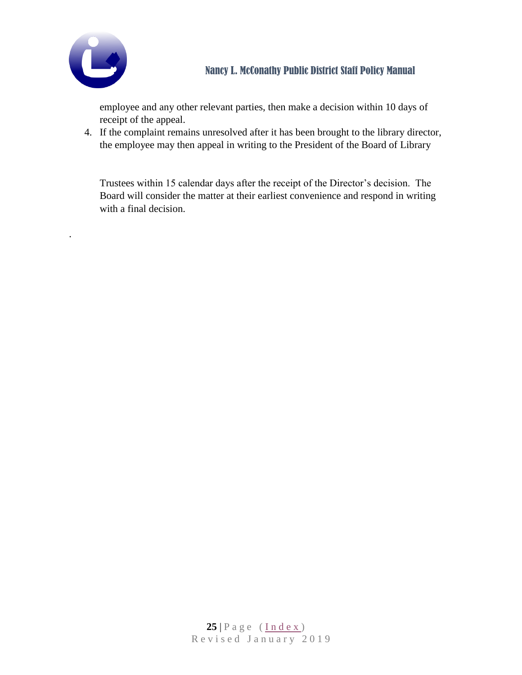

.

employee and any other relevant parties, then make a decision within 10 days of receipt of the appeal.

4. If the complaint remains unresolved after it has been brought to the library director, the employee may then appeal in writing to the President of the Board of Library

Trustees within 15 calendar days after the receipt of the Director's decision. The Board will consider the matter at their earliest convenience and respond in writing with a final decision.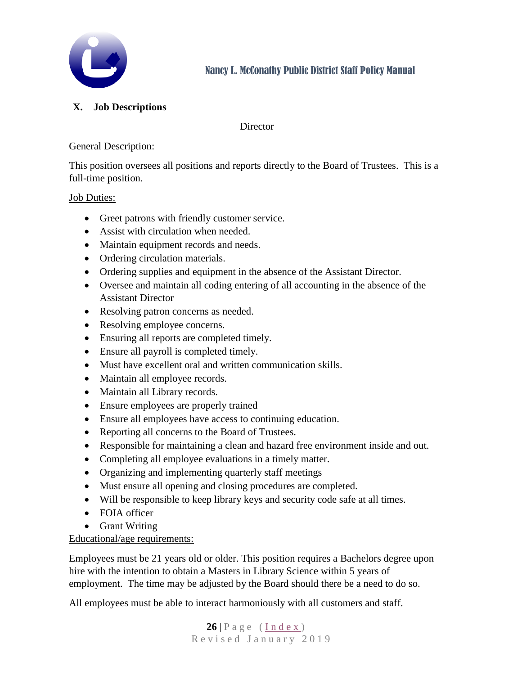

# <span id="page-25-0"></span>**X. Job Descriptions**

### **Director**

## General Description:

This position oversees all positions and reports directly to the Board of Trustees. This is a full-time position.

## Job Duties:

- Greet patrons with friendly customer service.
- Assist with circulation when needed.
- Maintain equipment records and needs.
- Ordering circulation materials.
- Ordering supplies and equipment in the absence of the Assistant Director.
- Oversee and maintain all coding entering of all accounting in the absence of the Assistant Director
- Resolving patron concerns as needed.
- Resolving employee concerns.
- Ensuring all reports are completed timely.
- Ensure all payroll is completed timely.
- Must have excellent oral and written communication skills.
- Maintain all employee records.
- Maintain all Library records.
- Ensure employees are properly trained
- Ensure all employees have access to continuing education.
- Reporting all concerns to the Board of Trustees.
- Responsible for maintaining a clean and hazard free environment inside and out.
- Completing all employee evaluations in a timely matter.
- Organizing and implementing quarterly staff meetings
- Must ensure all opening and closing procedures are completed.
- Will be responsible to keep library keys and security code safe at all times.
- FOIA officer
- Grant Writing

# Educational/age requirements:

Employees must be 21 years old or older. This position requires a Bachelors degree upon hire with the intention to obtain a Masters in Library Science within 5 years of employment. The time may be adjusted by the Board should there be a need to do so.

All employees must be able to interact harmoniously with all customers and staff.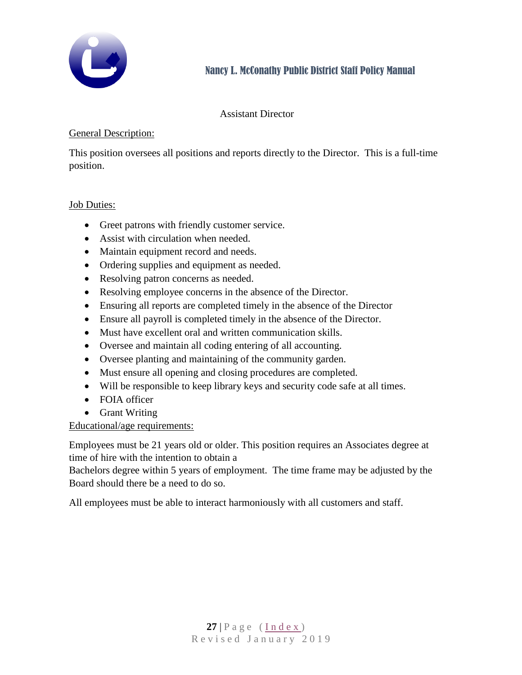

### Assistant Director

### General Description:

This position oversees all positions and reports directly to the Director. This is a full-time position.

### Job Duties:

- Greet patrons with friendly customer service.
- Assist with circulation when needed.
- Maintain equipment record and needs.
- Ordering supplies and equipment as needed.
- Resolving patron concerns as needed.
- Resolving employee concerns in the absence of the Director.
- Ensuring all reports are completed timely in the absence of the Director
- Ensure all payroll is completed timely in the absence of the Director.
- Must have excellent oral and written communication skills.
- Oversee and maintain all coding entering of all accounting.
- Oversee planting and maintaining of the community garden.
- Must ensure all opening and closing procedures are completed.
- Will be responsible to keep library keys and security code safe at all times.
- FOIA officer
- Grant Writing

# Educational/age requirements:

Employees must be 21 years old or older. This position requires an Associates degree at time of hire with the intention to obtain a

Bachelors degree within 5 years of employment. The time frame may be adjusted by the Board should there be a need to do so.

All employees must be able to interact harmoniously with all customers and staff.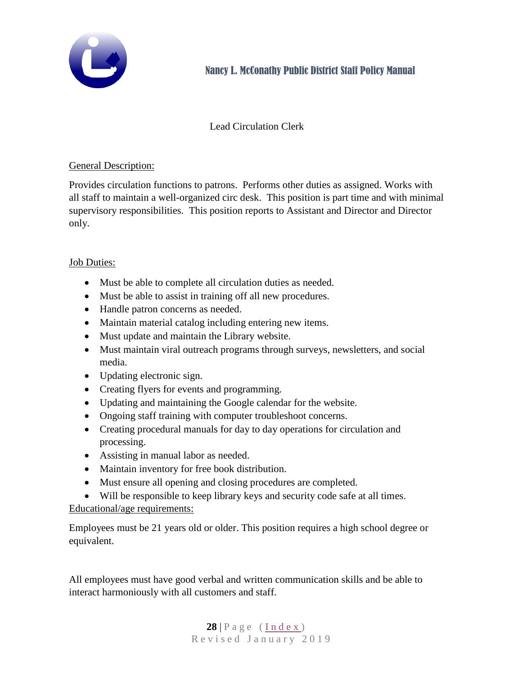

# Lead Circulation Clerk

### General Description:

Provides circulation functions to patrons. Performs other duties as assigned. Works with all staff to maintain a well-organized circ desk. This position is part time and with minimal supervisory responsibilities. This position reports to Assistant and Director and Director only.

#### Job Duties:

- Must be able to complete all circulation duties as needed.
- Must be able to assist in training off all new procedures.
- Handle patron concerns as needed.
- Maintain material catalog including entering new items.
- Must update and maintain the Library website.
- Must maintain viral outreach programs through surveys, newsletters, and social media.
- Updating electronic sign.
- Creating flyers for events and programming.
- Updating and maintaining the Google calendar for the website.
- Ongoing staff training with computer troubleshoot concerns.
- Creating procedural manuals for day to day operations for circulation and processing.
- Assisting in manual labor as needed.
- Maintain inventory for free book distribution.
- Must ensure all opening and closing procedures are completed.
- Will be responsible to keep library keys and security code safe at all times.

Educational/age requirements:

Employees must be 21 years old or older. This position requires a high school degree or equivalent.

All employees must have good verbal and written communication skills and be able to interact harmoniously with all customers and staff.

> $28$  | P a g e ( [I n d e x](#page-1-0) ) Revised January 2019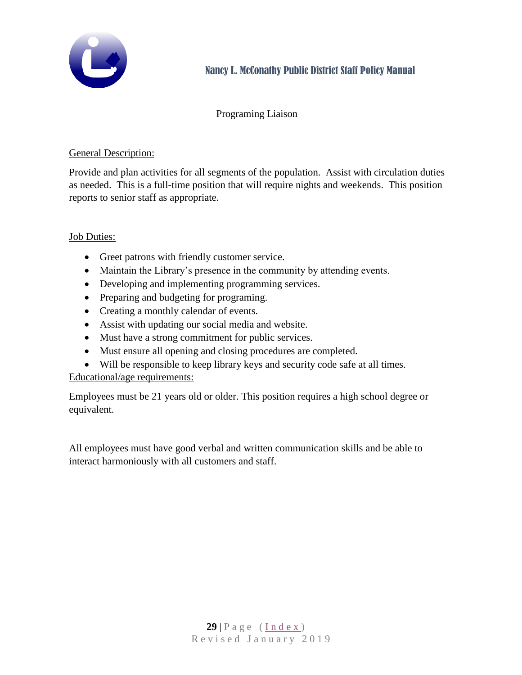

# Programing Liaison

## General Description:

Provide and plan activities for all segments of the population. Assist with circulation duties as needed. This is a full-time position that will require nights and weekends. This position reports to senior staff as appropriate.

## Job Duties:

- Greet patrons with friendly customer service.
- Maintain the Library's presence in the community by attending events.
- Developing and implementing programming services.
- Preparing and budgeting for programing.
- Creating a monthly calendar of events.
- Assist with updating our social media and website.
- Must have a strong commitment for public services.
- Must ensure all opening and closing procedures are completed.
- Will be responsible to keep library keys and security code safe at all times.

Educational/age requirements:

Employees must be 21 years old or older. This position requires a high school degree or equivalent.

All employees must have good verbal and written communication skills and be able to interact harmoniously with all customers and staff.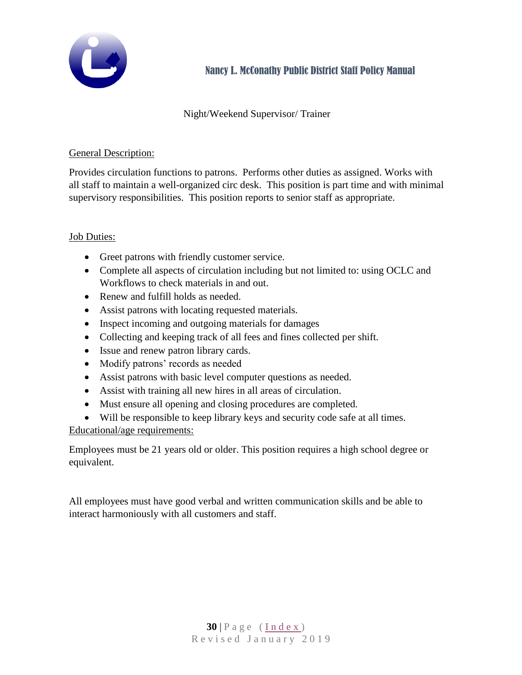

# Night/Weekend Supervisor/ Trainer

# General Description:

Provides circulation functions to patrons. Performs other duties as assigned. Works with all staff to maintain a well-organized circ desk. This position is part time and with minimal supervisory responsibilities. This position reports to senior staff as appropriate.

## Job Duties:

- Greet patrons with friendly customer service.
- Complete all aspects of circulation including but not limited to: using OCLC and Workflows to check materials in and out.
- Renew and fulfill holds as needed.
- Assist patrons with locating requested materials.
- Inspect incoming and outgoing materials for damages
- Collecting and keeping track of all fees and fines collected per shift.
- Issue and renew patron library cards.
- Modify patrons' records as needed
- Assist patrons with basic level computer questions as needed.
- Assist with training all new hires in all areas of circulation.
- Must ensure all opening and closing procedures are completed.
- Will be responsible to keep library keys and security code safe at all times.

Educational/age requirements:

Employees must be 21 years old or older. This position requires a high school degree or equivalent.

All employees must have good verbal and written communication skills and be able to interact harmoniously with all customers and staff.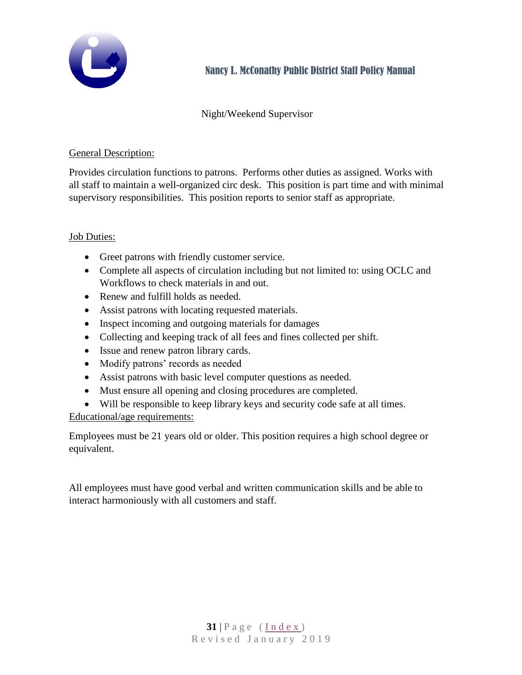

# Night/Weekend Supervisor

## General Description:

Provides circulation functions to patrons. Performs other duties as assigned. Works with all staff to maintain a well-organized circ desk. This position is part time and with minimal supervisory responsibilities. This position reports to senior staff as appropriate.

## Job Duties:

- Greet patrons with friendly customer service.
- Complete all aspects of circulation including but not limited to: using OCLC and Workflows to check materials in and out.
- Renew and fulfill holds as needed.
- Assist patrons with locating requested materials.
- Inspect incoming and outgoing materials for damages
- Collecting and keeping track of all fees and fines collected per shift.
- Issue and renew patron library cards.
- Modify patrons' records as needed
- Assist patrons with basic level computer questions as needed.
- Must ensure all opening and closing procedures are completed.
- Will be responsible to keep library keys and security code safe at all times.

Educational/age requirements:

Employees must be 21 years old or older. This position requires a high school degree or equivalent.

All employees must have good verbal and written communication skills and be able to interact harmoniously with all customers and staff.